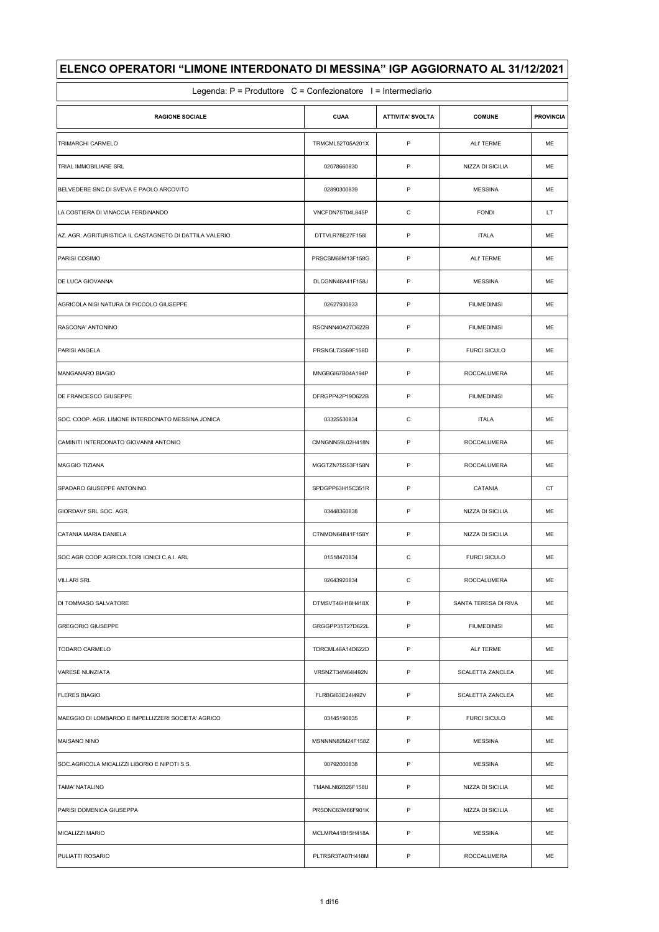| ELENCO OPERATORI "LIMONE INTERDONATO DI MESSINA" IGP AGGIORNATO AL 31/12/2021<br>Legenda: $P =$ Produttore $C =$ Confezionatore $I =$ Intermediario |                  |              |                         |           |  |  |
|-----------------------------------------------------------------------------------------------------------------------------------------------------|------------------|--------------|-------------------------|-----------|--|--|
|                                                                                                                                                     |                  |              |                         |           |  |  |
| <b>TRIMARCHI CARMELO</b>                                                                                                                            | TRMCML52T05A201X | P            | <b>ALI' TERME</b>       | ME        |  |  |
| TRIAL IMMOBILIARE SRL                                                                                                                               | 02078660830      | P            | NIZZA DI SICILIA        | ME        |  |  |
| BELVEDERE SNC DI SVEVA E PAOLO ARCOVITO                                                                                                             | 02890300839      | P            | <b>MESSINA</b>          | ME        |  |  |
| LA COSTIERA DI VINACCIA FERDINANDO                                                                                                                  | VNCFDN75T04L845P | C            | <b>FONDI</b>            | LT.       |  |  |
| AZ. AGR. AGRITURISTICA IL CASTAGNETO DI DATTILA VALERIO                                                                                             | DTTVLR78E27F158I | P            | <b>ITALA</b>            | ME        |  |  |
| PARISI COSIMO                                                                                                                                       | PRSCSM68M13F158G | $\mathsf{P}$ | <b>ALI' TERME</b>       | ME        |  |  |
| <b>DE LUCA GIOVANNA</b>                                                                                                                             | DLCGNN48A41F158J | P            | <b>MESSINA</b>          | ME        |  |  |
| AGRICOLA NISI NATURA DI PICCOLO GIUSEPPE                                                                                                            | 02627930833      | $\mathsf{P}$ | <b>FIUMEDINISI</b>      | ME        |  |  |
| <b>RASCONA' ANTONINO</b>                                                                                                                            | RSCNNN40A27D622B | P            | <b>FIUMEDINISI</b>      | ME        |  |  |
| <b>PARISI ANGELA</b>                                                                                                                                | PRSNGL73S69F158D | P            | <b>FURCI SICULO</b>     | ME        |  |  |
| MANGANARO BIAGIO                                                                                                                                    | MNGBGI67B04A194P | P            | <b>ROCCALUMERA</b>      | ME        |  |  |
| <b>DE FRANCESCO GIUSEPPE</b>                                                                                                                        | DFRGPP42P19D622B | P            | <b>FIUMEDINISI</b>      | ME        |  |  |
| SOC. COOP. AGR. LIMONE INTERDONATO MESSINA JONICA                                                                                                   | 03325530834      | $\mathsf{C}$ | <b>ITALA</b>            | ME        |  |  |
| CAMINITI INTERDONATO GIOVANNI ANTONIO                                                                                                               | CMNGNN59L02H418N | P            | <b>ROCCALUMERA</b>      | ME        |  |  |
| <b>MAGGIO TIZIANA</b>                                                                                                                               | MGGTZN75S53F158N | P            | <b>ROCCALUMERA</b>      | ME        |  |  |
| SPADARO GIUSEPPE ANTONINO                                                                                                                           | SPDGPP63H15C351R | P            | <b>CATANIA</b>          | <b>CT</b> |  |  |
| GIORDAVI' SRL SOC. AGR.                                                                                                                             | 03448360838      | P            | NIZZA DI SICILIA        | ME        |  |  |
| CATANIA MARIA DANIELA                                                                                                                               | CTNMDN64B41F158Y | $\mathsf{P}$ | NIZZA DI SICILIA        | ME        |  |  |
| SOC AGR COOP AGRICOLTORI IONICI C.A.I. ARL                                                                                                          | 01518470834      | $\mathsf{C}$ | <b>FURCI SICULO</b>     | ME        |  |  |
| <b>VILLARI SRL</b>                                                                                                                                  | 02643920834      | $\mathsf{C}$ | <b>ROCCALUMERA</b>      | ME        |  |  |
| <b>DI TOMMASO SALVATORE</b>                                                                                                                         | DTMSVT46H18H418X | P            | SANTA TERESA DI RIVA    | ME        |  |  |
| <b>GREGORIO GIUSEPPE</b>                                                                                                                            | GRGGPP35T27D622L | $\mathsf{P}$ | <b>FIUMEDINISI</b>      | ME        |  |  |
| <b>TODARO CARMELO</b>                                                                                                                               | TDRCML46A14D622D | P            | ALI' TERME              | ME        |  |  |
| <b>VARESE NUNZIATA</b>                                                                                                                              | VRSNZT34M64I492N | $\mathsf{P}$ | <b>SCALETTA ZANCLEA</b> | ME        |  |  |
| <b>FLERES BIAGIO</b>                                                                                                                                | FLRBGI63E24I492V | $\mathsf{P}$ | <b>SCALETTA ZANCLEA</b> | ME        |  |  |
| MAEGGIO DI LOMBARDO E IMPELLIZZERI SOCIETA' AGRICO                                                                                                  | 03145190835      | $\mathsf{P}$ | <b>FURCI SICULO</b>     | ME        |  |  |
| <b>MAISANO NINO</b>                                                                                                                                 | MSNNNN82M24F158Z | $\mathsf{P}$ | <b>MESSINA</b>          | ME        |  |  |
| SOC. AGRICOLA MICALIZZI LIBORIO E NIPOTI S.S.                                                                                                       | 00792000838      | $\mathsf{P}$ | <b>MESSINA</b>          | ME        |  |  |
| <b>TAMA' NATALINO</b>                                                                                                                               | TMANLN82B26F158U | $\mathsf{P}$ | NIZZA DI SICILIA        | ME        |  |  |
| PARISI DOMENICA GIUSEPPA                                                                                                                            | PRSDNC63M66F901K | $\mathsf{P}$ | NIZZA DI SICILIA        | ME        |  |  |
| <b>MICALIZZI MARIO</b>                                                                                                                              | MCLMRA41B15H418A | $\mathsf{P}$ | <b>MESSINA</b>          | ME        |  |  |
| <b>PULIATTI ROSARIO</b>                                                                                                                             | PLTRSR37A07H418M | P            | <b>ROCCALUMERA</b>      | ME        |  |  |